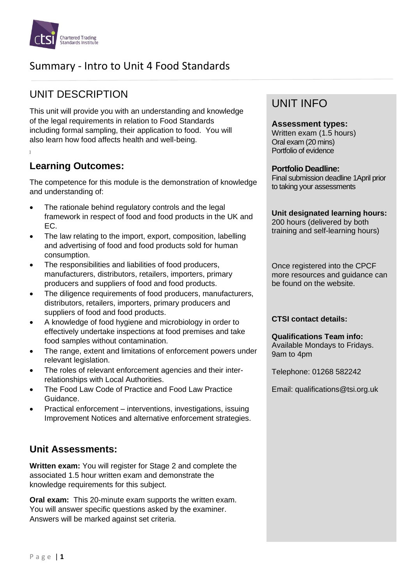

# Summary - Intro to Unit 4 Food Standards

# UNIT DESCRIPTION

This unit will provide you with an understanding and knowledge of the legal requirements in relation to Food Standards including formal sampling, their application to food. You will also learn how food affects health and well-being.

## **Learning Outcomes:**

The competence for this module is the demonstration of knowledge and understanding of:

- The rationale behind regulatory controls and the legal framework in respect of food and food products in the UK and EC.
- The law relating to the import, export, composition, labelling and advertising of food and food products sold for human consumption.
- The responsibilities and liabilities of food producers, manufacturers, distributors, retailers, importers, primary producers and suppliers of food and food products.
- The diligence requirements of food producers, manufacturers, distributors, retailers, importers, primary producers and suppliers of food and food products.
- A knowledge of food hygiene and microbiology in order to effectively undertake inspections at food premises and take food samples without contamination.
- The range, extent and limitations of enforcement powers under relevant legislation.
- The roles of relevant enforcement agencies and their interrelationships with Local Authorities.
- The Food Law Code of Practice and Food Law Practice Guidance.
- Practical enforcement interventions, investigations, issuing Improvement Notices and alternative enforcement strategies.

### **Unit Assessments:**

**Written exam:** You will register for Stage 2 and complete the associated 1.5 hour written exam and demonstrate the knowledge requirements for this subject.

**Oral exam:** This 20-minute exam supports the written exam. You will answer specific questions asked by the examiner. Answers will be marked against set criteria.

## UNIT INFO

#### **Assessment types:**

Written exam (1.5 hours) Oral exam (20 mins) Portfolio of evidence

#### **Portfolio Deadline:**

Final submission deadline 1April prior to taking your assessments

**Unit designated learning hours:** 200 hours (delivered by both

training and self-learning hours)

Once registered into the CPCF more resources and guidance can be found on the website.

#### **CTSI contact details:**

**Qualifications Team info:** Available Mondays to Fridays. 9am to 4pm

Telephone: 01268 582242

Email: qualifications@tsi.org.uk